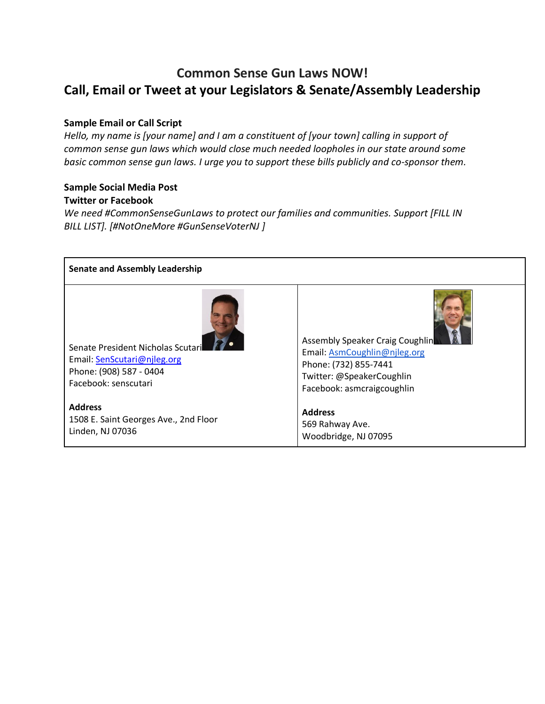# **Common Sense Gun Laws NOW! Call, Email or Tweet at your Legislators & Senate/Assembly Leadership**

### **Sample Email or Call Script**

*Hello, my name is [your name] and I am a constituent of [your town] calling in support of common sense gun laws which would close much needed loopholes in our state around some basic common sense gun laws. I urge you to support these bills publicly and co-sponsor them.*

#### **Sample Social Media Post Twitter or Facebook**

*We need #CommonSenseGunLaws to protect our families and communities. Support [FILL IN BILL LIST]. [#NotOneMore #GunSenseVoterNJ ]*

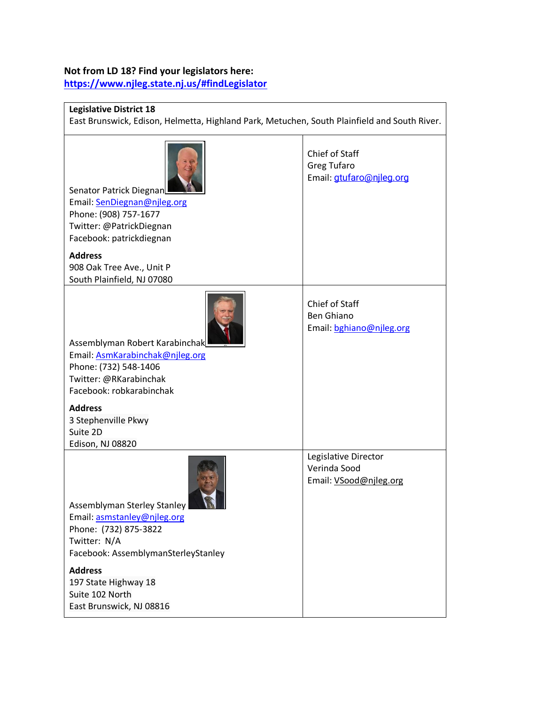#### **Not from LD 18? Find your legislators here:**

**<https://www.njleg.state.nj.us/#findLegislator>**

#### **Legislative District 18**

East Brunswick, Edison, Helmetta, Highland Park, Metuchen, South Plainfield and South River.

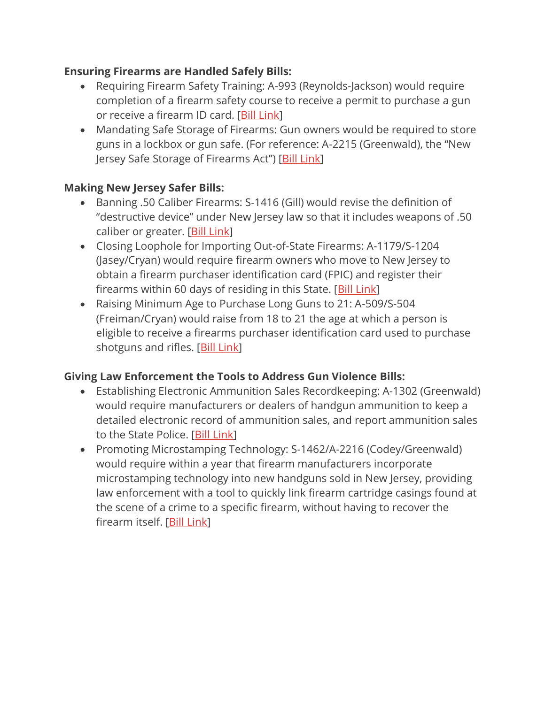## **Ensuring Firearms are Handled Safely Bills:**

- Requiring Firearm Safety Training: A-993 (Reynolds-Jackson) would require completion of a firearm safety course to receive a permit to purchase a gun or receive a firearm ID card. [Bill [Link\]](https://www.njleg.state.nj.us/bill-search/2022/A993)
- Mandating Safe Storage of Firearms: Gun owners would be required to store guns in a lockbox or gun safe. (For reference: A-2215 (Greenwald), the "New Jersey Safe Storage of Firearms Act") [Bill [Link\]](https://www.njleg.state.nj.us/bill-search/2022/A2215)

### **Making New Jersey Safer Bills:**

- Banning .50 Caliber Firearms: S-1416 (Gill) would revise the definition of "destructive device" under New Jersey law so that it includes weapons of .50 caliber or greater. [Bill [Link\]](https://www.njleg.state.nj.us/bill-search/2022/S1416)
- Closing Loophole for Importing Out-of-State Firearms: A-1179/S-1204 (Jasey/Cryan) would require firearm owners who move to New Jersey to obtain a firearm purchaser identification card (FPIC) and register their firearms within 60 days of residing in this State. [Bill [Link\]](https://www.njleg.state.nj.us/bill-search/2022/A1179)
- Raising Minimum Age to Purchase Long Guns to 21: A-509/S-504 (Freiman/Cryan) would raise from 18 to 21 the age at which a person is eligible to receive a firearms purchaser identification card used to purchase shotguns and rifles. [Bill [Link\]](https://www.njleg.state.nj.us/bill-search/2022/A509)

### **Giving Law Enforcement the Tools to Address Gun Violence Bills:**

- Establishing Electronic Ammunition Sales Recordkeeping: A-1302 (Greenwald) would require manufacturers or dealers of handgun ammunition to keep a detailed electronic record of ammunition sales, and report ammunition sales to the State Police. [Bill [Link\]](https://www.njleg.state.nj.us/bill-search/2022/A1302)
- Promoting Microstamping Technology: S-1462/A-2216 (Codey/Greenwald) would require within a year that firearm manufacturers incorporate microstamping technology into new handguns sold in New Jersey, providing law enforcement with a tool to quickly link firearm cartridge casings found at the scene of a crime to a specific firearm, without having to recover the firearm itself. [Bill [Link\]](https://www.njleg.state.nj.us/bill-search/2022/S1462)